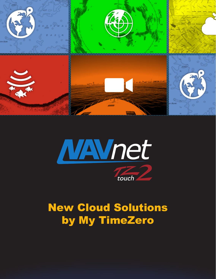



# New Cloud Solutions by My TimeZero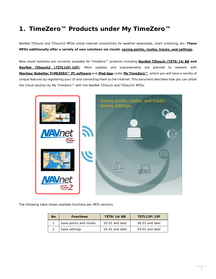# **1. TimeZero™ Products under My TimeZero™**

NavNet TZtouch and TZtouch2 MFDs utilize internet connectivity for weather downloads, chart unlocking, etc. **These MFDs additionally offer a variety of new solutions via clould: saving points, routes, tracks, and settings.** 

New clould solutions are currently available for TimeZero™ products including **NavNet TZtouch (TZT9/14/BB and NavNet TZtouch2 (TZTL12F/15F)**. More updates and improvements are planned to network with **MaxSea/Nobeltec TIMEZERO™ PC software** and **iPad App** under **My TimeZero™**, where you will have a variety of unique features by registering your ID and connecting them to the Internet. This document describes how you can utilize the Cloud solution by My TimeZero™ with the NavNet TZtouch and TZtouch2 MFDs.



The following table shows availabe functions per MFD versions.

| Nο | <b>Functions</b>       | <b>TZT9/14/BB</b> | <b>TZTL12F/15F</b>          |
|----|------------------------|-------------------|-----------------------------|
|    | Save points and routes | V5.01 and later   | V6.01 and later             |
|    | Save settings          | V5.01 and later   | V <sub>3.01</sub> and later |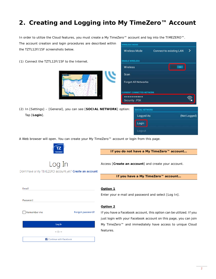# **2. Creating and Logging into My TimeZero™ Account**

In order to utilize the Cloud features, you must create a My TimeZero™ account and log into the TIMEZERO™.

The account creation and login procedures are described within the TZTL12F/15F screenshots below.

(1) Connect the TZTL12F/15F to the Internet.



(2) In [Settings] – [General], you can see [**SOCIAL NETWORK**] option: Tap [**Login**].

| <b>WIRELESS MODE</b>             |                                |  |
|----------------------------------|--------------------------------|--|
| <b>Wireless Mcde</b>             | <b>Connect to existing LAN</b> |  |
| <b>ENABLE WIRELESS</b>           |                                |  |
| Wireless                         | ON                             |  |
| Scan                             |                                |  |
| <b>Forget All Networks</b>       |                                |  |
| <b>CURRENT CONNECTED NETWORK</b> |                                |  |
| **********                       |                                |  |
| Security: PSK                    |                                |  |
|                                  |                                |  |



A Web browser will open. You can create your My TimeZero™ account or login from this page.



Don't have a My TIMEZERO account yet? Create an account

**If you do not have a My TimeZero™ account…** 

Access [**Create an account**] and create your account.

**If you have a My TimeZero™ account…** 

| Email       |                                 |                  |
|-------------|---------------------------------|------------------|
| Password    |                                 |                  |
| Remember me |                                 | Forgot password? |
|             | Log In                          |                  |
|             | $-$ Or $-$                      |                  |
|             | <b>f</b> Continue with Facebook |                  |

#### **Option 1**

Enter your e-mail and password and select [Log In].

### **Option 2**

If you have a Facebook account, this option can be utilized. If you just login with your Facebook account on this page, you can join My TimeZero™ and immediately have access to unique Cloud features.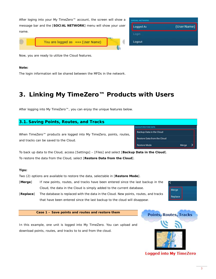|       | After loging into your My TimeZero™ account, the screen will show a | <b>GOOIAL NETWORK</b> |       |
|-------|---------------------------------------------------------------------|-----------------------|-------|
|       | message bar and the [SOCIAL NETWORK] menu will show your user       | Logged As             | (Usei |
| name. |                                                                     | Login                 |       |
|       | You are logged as *** (User Name)                                   | Logout                |       |
|       |                                                                     |                       |       |

Now, you are ready to utilize the Cloud features.

#### **Note:**

The login information will be shared between the MFDs in the network.

# **3. Linking My TimeZero™ Products with Users**

After logging into My TimeZero™, you can enjoy the unique features below.

#### **3.1. Saving Points, Routes, and Tracks**  BACKUP/RESTORE DATA **Backup Data in the Cloud** When TimeZero™ products are logged into My TimeZero, points, routes, **Restore Data from the Cloud** and tracks can be saved to the Cloud. **Restore Mode** Merge

To back up data to the Cloud, access [Settings] – [Files] and select [**Backup Data in the Cloud**]. To restore the data from the Cloud, select [**Restore Data from the Cloud**].

### **Tips:**

Two (2) options are available to restore the data, selectable in [**Restore Mode**].

- [**Merge**] If new points, routes, and tracks have been entered since the last backup in the Cloud, the data in the Cloud is simply added to the current database.
- [**Replace**] The database is replaced with the data in the Cloud. New points, routes, and tracks that have been entered since the last backup to the cloud will disappear.

**Case 1 – Save points and routes and restore them** 

In this example, one unit is logged into My TimeZero. You can upload and download points, routes, and tracks to to and from the cloud.



Merge Replace Name)

**Logged into My TimeZero**